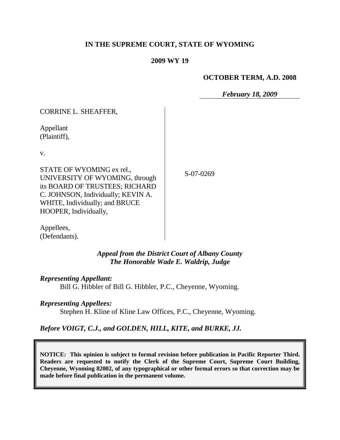## **IN THE SUPREME COURT, STATE OF WYOMING**

#### **2009 WY 19**

#### **OCTOBER TERM, A.D. 2008**

*February 18, 2009*

| CORRINE L. SHEAFFER,                                                                                                                                                                           |    |
|------------------------------------------------------------------------------------------------------------------------------------------------------------------------------------------------|----|
| Appellant<br>(Plaintiff),                                                                                                                                                                      |    |
| V.                                                                                                                                                                                             |    |
| STATE OF WYOMING ex rel.,<br>UNIVERSITY OF WYOMING, through<br>its BOARD OF TRUSTEES; RICHARD<br>C. JOHNSON, Individually; KEVIN A.<br>WHITE, Individually; and BRUCE<br>HOOPER, Individually, | ς. |

 $-07 - 0269$ 

Appellees, (Defendants).

## *Appeal from the District Court of Albany County The Honorable Wade E. Waldrip, Judge*

#### *Representing Appellant:*

CORRECT CHEAFFER

Bill G. Hibbler of Bill G. Hibbler, P.C., Cheyenne, Wyoming.

#### *Representing Appellees:*

Stephen H. Kline of Kline Law Offices, P.C., Cheyenne, Wyoming.

#### *Before VOIGT, C.J., and GOLDEN, HILL, KITE, and BURKE, JJ.*

**NOTICE: This opinion is subject to formal revision before publication in Pacific Reporter Third. Readers are requested to notify the Clerk of the Supreme Court, Supreme Court Building, Cheyenne, Wyoming 82002, of any typographical or other formal errors so that correction may be made before final publication in the permanent volume.**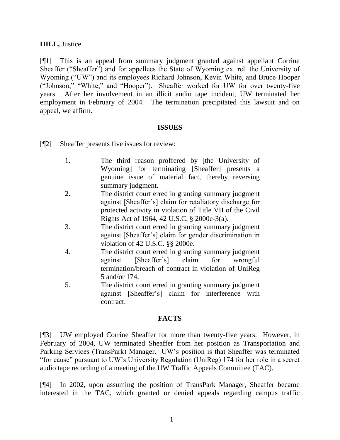### **HILL,** Justice.

[¶1] This is an appeal from summary judgment granted against appellant Corrine Sheaffer ("Sheaffer") and for appellees the State of Wyoming ex. rel. the University of Wyoming ("UW") and its employees Richard Johnson, Kevin White, and Bruce Hooper ("Johnson," "White," and "Hooper"). Sheaffer worked for UW for over twenty-five years. After her involvement in an illicit audio tape incident, UW terminated her employment in February of 2004. The termination precipitated this lawsuit and on appeal, we affirm.

#### **ISSUES**

[¶2] Sheaffer presents five issues for review:

- 1. The third reason proffered by [the University of Wyoming] for terminating [Sheaffer] presents a genuine issue of material fact, thereby reversing summary judgment.
- 2. The district court erred in granting summary judgment against [Sheaffer"s] claim for retaliatory discharge for protected activity in violation of Title VII of the Civil Rights Act of 1964, 42 U.S.C. § 2000e-3(a).
- 3. The district court erred in granting summary judgment against [Sheaffer"s] claim for gender discrimination in violation of 42 U.S.C. §§ 2000e.
- 4. The district court erred in granting summary judgment against [Sheaffer"s] claim for wrongful termination/breach of contract in violation of UniReg 5 and/or 174.
- 5. The district court erred in granting summary judgment against [Sheaffer"s] claim for interference with contract.

#### **FACTS**

[¶3] UW employed Corrine Sheaffer for more than twenty-five years. However, in February of 2004, UW terminated Sheaffer from her position as Transportation and Parking Services (TransPark) Manager. UW"s position is that Sheaffer was terminated "for cause" pursuant to UW"s University Regulation (UniReg) 174 for her role in a secret audio tape recording of a meeting of the UW Traffic Appeals Committee (TAC).

[¶4] In 2002, upon assuming the position of TransPark Manager, Sheaffer became interested in the TAC, which granted or denied appeals regarding campus traffic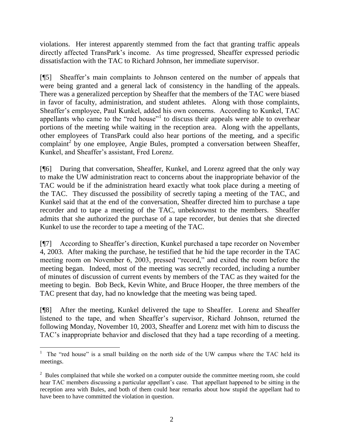violations. Her interest apparently stemmed from the fact that granting traffic appeals directly affected TransPark"s income. As time progressed, Sheaffer expressed periodic dissatisfaction with the TAC to Richard Johnson, her immediate supervisor.

[¶5] Sheaffer"s main complaints to Johnson centered on the number of appeals that were being granted and a general lack of consistency in the handling of the appeals. There was a generalized perception by Sheaffer that the members of the TAC were biased in favor of faculty, administration, and student athletes. Along with those complaints, Sheaffer"s employee, Paul Kunkel, added his own concerns. According to Kunkel, TAC appellants who came to the "red house"<sup>1</sup> to discuss their appeals were able to overhear portions of the meeting while waiting in the reception area. Along with the appellants, other employees of TransPark could also hear portions of the meeting, and a specific  $\epsilon$ complaint<sup>2</sup> by one employee, Angie Bules, prompted a conversation between Sheaffer, Kunkel, and Sheaffer"s assistant, Fred Lorenz.

[¶6] During that conversation, Sheaffer, Kunkel, and Lorenz agreed that the only way to make the UW administration react to concerns about the inappropriate behavior of the TAC would be if the administration heard exactly what took place during a meeting of the TAC. They discussed the possibility of secretly taping a meeting of the TAC, and Kunkel said that at the end of the conversation, Sheaffer directed him to purchase a tape recorder and to tape a meeting of the TAC, unbeknownst to the members. Sheaffer admits that she authorized the purchase of a tape recorder, but denies that she directed Kunkel to use the recorder to tape a meeting of the TAC.

[¶7] According to Sheaffer"s direction, Kunkel purchased a tape recorder on November 4, 2003. After making the purchase, he testified that he hid the tape recorder in the TAC meeting room on November 6, 2003, pressed "record," and exited the room before the meeting began. Indeed, most of the meeting was secretly recorded, including a number of minutes of discussion of current events by members of the TAC as they waited for the meeting to begin. Bob Beck, Kevin White, and Bruce Hooper, the three members of the TAC present that day, had no knowledge that the meeting was being taped.

[¶8] After the meeting, Kunkel delivered the tape to Sheaffer. Lorenz and Sheaffer listened to the tape, and when Sheaffer"s supervisor, Richard Johnson, returned the following Monday, November 10, 2003, Sheaffer and Lorenz met with him to discuss the TAC"s inappropriate behavior and disclosed that they had a tape recording of a meeting.

 <sup>1</sup> The "red house" is a small building on the north side of the UW campus where the TAC held its meetings.

 $2^2$  Bules complained that while she worked on a computer outside the committee meeting room, she could hear TAC members discussing a particular appellant's case. That appellant happened to be sitting in the reception area with Bules, and both of them could hear remarks about how stupid the appellant had to have been to have committed the violation in question.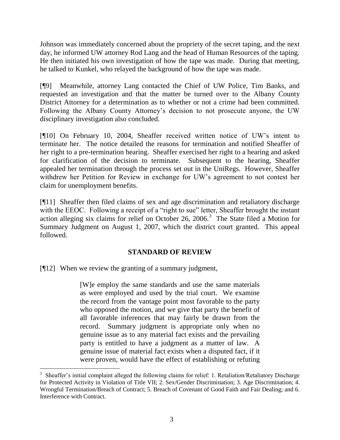Johnson was immediately concerned about the propriety of the secret taping, and the next day, he informed UW attorney Rod Lang and the head of Human Resources of the taping. He then initiated his own investigation of how the tape was made. During that meeting, he talked to Kunkel, who relayed the background of how the tape was made.

[¶9] Meanwhile, attorney Lang contacted the Chief of UW Police, Tim Banks, and requested an investigation and that the matter be turned over to the Albany County District Attorney for a determination as to whether or not a crime had been committed. Following the Albany County Attorney"s decision to not prosecute anyone, the UW disciplinary investigation also concluded.

[¶10] On February 10, 2004, Sheaffer received written notice of UW"s intent to terminate her. The notice detailed the reasons for termination and notified Sheaffer of her right to a pre-termination hearing. Sheaffer exercised her right to a hearing and asked for clarification of the decision to terminate. Subsequent to the hearing, Sheaffer appealed her termination through the process set out in the UniRegs. However, Sheaffer withdrew her Petition for Review in exchange for UW"s agreement to not contest her claim for unemployment benefits.

[¶11] Sheaffer then filed claims of sex and age discrimination and retaliatory discharge with the EEOC. Following a receipt of a "right to sue" letter, Sheaffer brought the instant action alleging six claims for relief on October 26, 2006.<sup>3</sup> The State filed a Motion for Summary Judgment on August 1, 2007, which the district court granted. This appeal followed.

# **STANDARD OF REVIEW**

[¶12] When we review the granting of a summary judgment,

[W]e employ the same standards and use the same materials as were employed and used by the trial court. We examine the record from the vantage point most favorable to the party who opposed the motion, and we give that party the benefit of all favorable inferences that may fairly be drawn from the record. Summary judgment is appropriate only when no genuine issue as to any material fact exists and the prevailing party is entitled to have a judgment as a matter of law. A genuine issue of material fact exists when a disputed fact, if it were proven, would have the effect of establishing or refuting

<sup>3</sup> Sheaffer"s initial complaint alleged the following claims for relief: 1. Retaliation/Retaliatory Discharge for Protected Activity in Violation of Title VII; 2. Sex/Gender Discrimination; 3. Age Discrimination; 4. Wrongful Termination/Breach of Contract; 5. Breach of Covenant of Good Faith and Fair Dealing; and 6. Interference with Contract.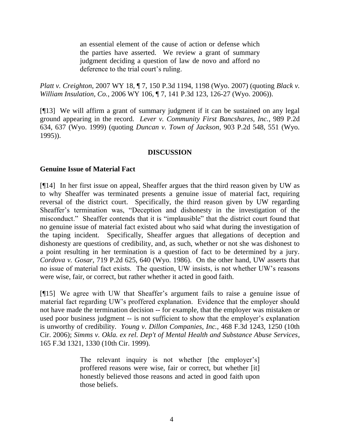an essential element of the cause of action or defense which the parties have asserted. We review a grant of summary judgment deciding a question of law de novo and afford no deference to the trial court's ruling.

*Platt v. Creighton*, 2007 WY 18, ¶ 7, 150 P.3d 1194, 1198 (Wyo. 2007) (quoting *Black v. William Insulation, Co.*, 2006 WY 106, ¶ 7, 141 P.3d 123, 126-27 (Wyo. 2006)).

[¶13] We will affirm a grant of summary judgment if it can be sustained on any legal ground appearing in the record. *Lever v. Community First Bancshares, Inc.*, 989 P.2d 634, 637 (Wyo. 1999) (quoting *Duncan v. Town of Jackson*, 903 P.2d 548, 551 (Wyo. 1995)).

### **DISCUSSION**

#### **Genuine Issue of Material Fact**

[¶14] In her first issue on appeal, Sheaffer argues that the third reason given by UW as to why Sheaffer was terminated presents a genuine issue of material fact, requiring reversal of the district court. Specifically, the third reason given by UW regarding Sheaffer"s termination was, "Deception and dishonesty in the investigation of the misconduct." Sheaffer contends that it is "implausible" that the district court found that no genuine issue of material fact existed about who said what during the investigation of the taping incident. Specifically, Sheaffer argues that allegations of deception and dishonesty are questions of credibility, and, as such, whether or not she was dishonest to a point resulting in her termination is a question of fact to be determined by a jury. *Cordova v. Gosar,* 719 P.2d 625, 640 (Wyo. 1986). On the other hand, UW asserts that no issue of material fact exists. The question, UW insists, is not whether UW"s reasons were wise, fair, or correct, but rather whether it acted in good faith.

[¶15] We agree with UW that Sheaffer"s argument fails to raise a genuine issue of material fact regarding UW"s proffered explanation. Evidence that the employer should not have made the termination decision -- for example, that the employer was mistaken or used poor business judgment -- is not sufficient to show that the employer's explanation is unworthy of credibility. *Young v. Dillon Companies, Inc.,* 468 F.3d 1243, 1250 (10th Cir. 2006); *Simms v. Okla. ex rel. Dep't of Mental Health and Substance Abuse Services*, 165 F.3d 1321, 1330 (10th Cir. 1999).

> The relevant inquiry is not whether [the employer's] proffered reasons were wise, fair or correct, but whether [it] honestly believed those reasons and acted in good faith upon those beliefs.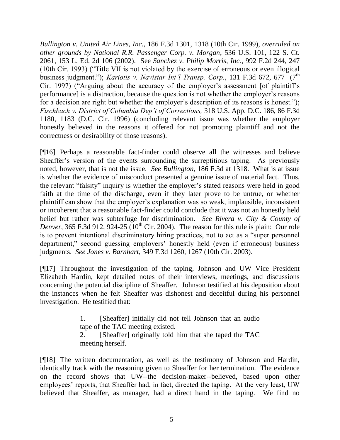*Bullington v. United Air Lines, Inc.*, 186 F.3d 1301, 1318 (10th Cir. 1999), *overruled on other grounds by National R.R. Passenger Corp. v. Morgan*, 536 U.S. 101, 122 S. Ct. 2061, 153 L. Ed. 2d 106 (2002). See *Sanchez v. Philip Morris, Inc.*, 992 F.2d 244, 247 (10th Cir. 1993) ("Title VII is not violated by the exercise of erroneous or even illogical business judgment."); *Kariotis v. Navistar Int'l Transp. Corp.*, 131 F.3d 672, 677 (7<sup>th</sup>) Cir. 1997) ("Arguing about the accuracy of the employer's assessment [of plaintiff's performance] is a distraction, because the question is not whether the employer"s reasons for a decision are right but whether the employer's description of its reasons is honest."); *Fischbach v. District of Columbia Dep't of Corrections,* 318 U.S. App. D.C. 186, 86 F.3d 1180, 1183 (D.C. Cir. 1996) (concluding relevant issue was whether the employer honestly believed in the reasons it offered for not promoting plaintiff and not the correctness or desirability of those reasons).

[¶16] Perhaps a reasonable fact-finder could observe all the witnesses and believe Sheaffer's version of the events surrounding the surreptitious taping. As previously noted, however, that is not the issue. *See Bullington*, 186 F.3d at 1318. What is at issue is whether the evidence of misconduct presented a genuine issue of material fact. Thus, the relevant "falsity" inquiry is whether the employer"s stated reasons were held in good faith at the time of the discharge, even if they later prove to be untrue, or whether plaintiff can show that the employer"s explanation was so weak, implausible, inconsistent or incoherent that a reasonable fact-finder could conclude that it was not an honestly held belief but rather was subterfuge for discrimination. *See Rivera v. City & County of Denver*,  $365$  F.3d 912, 924-25 ( $10^{th}$  Cir. 2004). The reason for this rule is plain: Our role is to prevent intentional discriminatory hiring practices, not to act as a "super personnel department," second guessing employers" honestly held (even if erroneous) business judgments. *See Jones v. Barnhart*, 349 F.3d 1260, 1267 (10th Cir. 2003).

[¶17] Throughout the investigation of the taping, Johnson and UW Vice President Elizabeth Hardin, kept detailed notes of their interviews, meetings, and discussions concerning the potential discipline of Sheaffer. Johnson testified at his deposition about the instances when he felt Sheaffer was dishonest and deceitful during his personnel investigation. He testified that:

> 1. [Sheaffer] initially did not tell Johnson that an audio tape of the TAC meeting existed.

> 2. [Sheaffer] originally told him that she taped the TAC meeting herself.

[¶18] The written documentation, as well as the testimony of Johnson and Hardin, identically track with the reasoning given to Sheaffer for her termination. The evidence on the record shows that UW--the decision-maker--believed, based upon other employees' reports, that Sheaffer had, in fact, directed the taping. At the very least, UW believed that Sheaffer, as manager, had a direct hand in the taping. We find no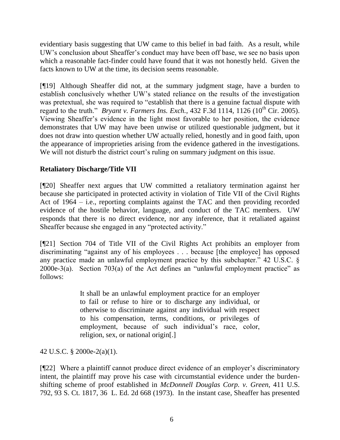evidentiary basis suggesting that UW came to this belief in bad faith. As a result, while UW"s conclusion about Sheaffer"s conduct may have been off base, we see no basis upon which a reasonable fact-finder could have found that it was not honestly held. Given the facts known to UW at the time, its decision seems reasonable.

[¶19] Although Sheaffer did not, at the summary judgment stage, have a burden to establish conclusively whether UW"s stated reliance on the results of the investigation was pretextual, she was required to "establish that there is a genuine factual dispute with regard to the truth." *Bryant v. Farmers Ins. Exch.*, 432 F.3d 1114, 1126 ( $10^{th}$  Cir. 2005). Viewing Sheaffer"s evidence in the light most favorable to her position, the evidence demonstrates that UW may have been unwise or utilized questionable judgment, but it does not draw into question whether UW actually relied, honestly and in good faith, upon the appearance of improprieties arising from the evidence gathered in the investigations. We will not disturb the district court's ruling on summary judgment on this issue.

# **Retaliatory Discharge/Title VII**

[¶20] Sheaffer next argues that UW committed a retaliatory termination against her because she participated in protected activity in violation of Title VII of the Civil Rights Act of 1964 – i.e., reporting complaints against the TAC and then providing recorded evidence of the hostile behavior, language, and conduct of the TAC members. UW responds that there is no direct evidence, nor any inference, that it retaliated against Sheaffer because she engaged in any "protected activity."

[¶21] Section 704 of Title VII of the Civil Rights Act prohibits an employer from discriminating "against any of his employees . . . because [the employee] has opposed any practice made an unlawful employment practice by this subchapter." 42 U.S.C. § 2000e-3(a). Section 703(a) of the Act defines an "unlawful employment practice" as follows:

> It shall be an unlawful employment practice for an employer to fail or refuse to hire or to discharge any individual, or otherwise to discriminate against any individual with respect to his compensation, terms, conditions, or privileges of employment, because of such individual's race, color, religion, sex, or national origin[.]

42 U.S.C. § 2000e-2(a)(1).

[¶22] Where a plaintiff cannot produce direct evidence of an employer"s discriminatory intent, the plaintiff may prove his case with circumstantial evidence under the burdenshifting scheme of proof established in *McDonnell Douglas Corp. v. Green,* 411 U.S. 792, 93 S. Ct. 1817, 36 L. Ed. 2d 668 (1973). In the instant case, Sheaffer has presented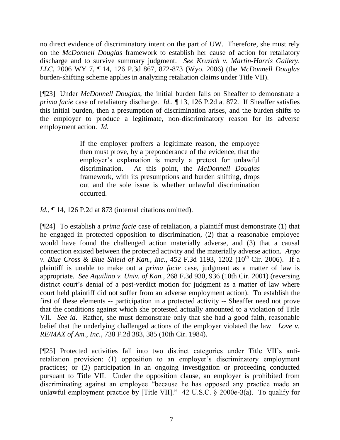no direct evidence of discriminatory intent on the part of UW. Therefore, she must rely on the *McDonnell Douglas* framework to establish her cause of action for retaliatory discharge and to survive summary judgment. *See Kruzich v. Martin-Harris Gallery, LLC*, 2006 WY 7, ¶ 14, 126 P.3d 867, 872-873 (Wyo. 2006) (the *McDonnell Douglas* burden-shifting scheme applies in analyzing retaliation claims under Title VII).

[¶23] Under *McDonnell Douglas,* the initial burden falls on Sheaffer to demonstrate a *prima facie* case of retaliatory discharge. *Id.*, ¶ 13, 126 P.2d at 872. If Sheaffer satisfies this initial burden, then a presumption of discrimination arises, and the burden shifts to the employer to produce a legitimate, non-discriminatory reason for its adverse employment action. *Id.*

> If the employer proffers a legitimate reason, the employee then must prove, by a preponderance of the evidence, that the employer's explanation is merely a pretext for unlawful discrimination. At this point, the *McDonnell Douglas* framework, with its presumptions and burden shifting, drops out and the sole issue is whether unlawful discrimination occurred.

*Id.*, ¶ 14, 126 P.2d at 873 (internal citations omitted).

[¶24] To establish a *prima facie* case of retaliation, a plaintiff must demonstrate (1) that he engaged in protected opposition to discrimination, (2) that a reasonable employee would have found the challenged action materially adverse, and (3) that a causal connection existed between the protected activity and the materially adverse action. *Argo v. Blue Cross & Blue Shield of Kan., Inc., 452 F.3d 1193, 1202 (10<sup>th</sup> Cir. 2006).* If a plaintiff is unable to make out a *prima facie* case, judgment as a matter of law is appropriate. *See Aquilino v. Univ. of Kan.*, 268 F.3d 930, 936 (10th Cir. 2001) (reversing district court's denial of a post-verdict motion for judgment as a matter of law where court held plaintiff did not suffer from an adverse employment action). To establish the first of these elements -- participation in a protected activity -- Sheaffer need not prove that the conditions against which she protested actually amounted to a violation of Title VII. *See id*. Rather, she must demonstrate only that she had a good faith, reasonable belief that the underlying challenged actions of the employer violated the law. *Love v. RE/MAX of Am., Inc.*, 738 F.2d 383, 385 (10th Cir. 1984).

[¶25] Protected activities fall into two distinct categories under Title VII"s antiretaliation provision: (1) opposition to an employer's discriminatory employment practices; or (2) participation in an ongoing investigation or proceeding conducted pursuant to Title VII. Under the opposition clause, an employer is prohibited from discriminating against an employee "because he has opposed any practice made an unlawful employment practice by [Title VII]." 42 U.S.C. § 2000e-3(a). To qualify for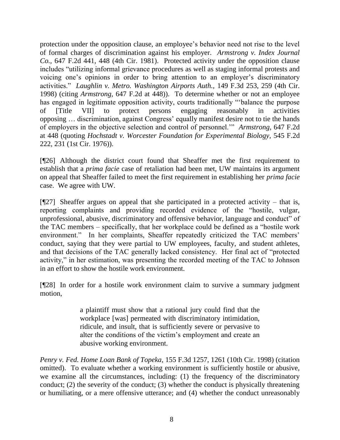protection under the opposition clause, an employee's behavior need not rise to the level of formal charges of discrimination against his employer. *Armstrong v. Index Journal Co.,* 647 F.2d 441, 448 (4th Cir. 1981). Protected activity under the opposition clause includes "utilizing informal grievance procedures as well as staging informal protests and voicing one's opinions in order to bring attention to an employer's discriminatory activities." *Laughlin v. Metro. Washington Airports Auth.,* 149 F.3d 253, 259 (4th Cir. 1998) (citing *Armstrong,* 647 F.2d at 448)). To determine whether or not an employee has engaged in legitimate opposition activity, courts traditionally ""balance the purpose of [Title VII] to protect persons engaging reasonably in activities opposing … discrimination, against Congress" equally manifest desire not to tie the hands of employers in the objective selection and control of personnel."" *Armstrong,* 647 F.2d at 448 (quoting *Hochstadt v. Worcester Foundation for Experimental Biology,* 545 F.2d 222, 231 (1st Cir. 1976)).

[¶26] Although the district court found that Sheaffer met the first requirement to establish that a *prima facie* case of retaliation had been met, UW maintains its argument on appeal that Sheaffer failed to meet the first requirement in establishing her *prima facie* case. We agree with UW.

 $[927]$  Sheaffer argues on appeal that she participated in a protected activity – that is, reporting complaints and providing recorded evidence of the "hostile, vulgar, unprofessional, abusive, discriminatory and offensive behavior, language and conduct" of the TAC members – specifically, that her workplace could be defined as a "hostile work environment." In her complaints, Sheaffer repeatedly criticized the TAC members' conduct, saying that they were partial to UW employees, faculty, and student athletes, and that decisions of the TAC generally lacked consistency. Her final act of "protected activity," in her estimation, was presenting the recorded meeting of the TAC to Johnson in an effort to show the hostile work environment.

[¶28] In order for a hostile work environment claim to survive a summary judgment motion,

> a plaintiff must show that a rational jury could find that the workplace [was] permeated with discriminatory intimidation, ridicule, and insult, that is sufficiently severe or pervasive to alter the conditions of the victim"s employment and create an abusive working environment.

*Penry v. Fed. Home Loan Bank of Topeka,* 155 F.3d 1257, 1261 (10th Cir. 1998) (citation omitted). To evaluate whether a working environment is sufficiently hostile or abusive, we examine all the circumstances, including: (1) the frequency of the discriminatory conduct; (2) the severity of the conduct; (3) whether the conduct is physically threatening or humiliating, or a mere offensive utterance; and (4) whether the conduct unreasonably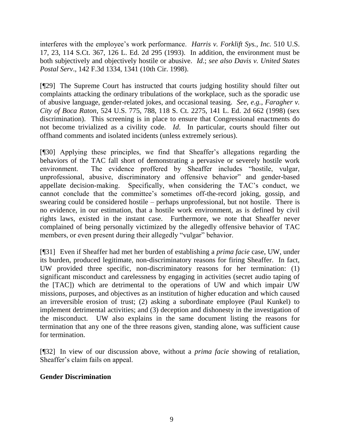interferes with the employee's work performance. *Harris v. Forklift Sys., Inc.* 510 U.S. 17, 23, 114 S.Ct. 367, 126 L. Ed. 2d 295 (1993). In addition, the environment must be both subjectively and objectively hostile or abusive. *Id*.; *see also Davis v. United States Postal Serv*., 142 F.3d 1334, 1341 (10th Cir. 1998).

[¶29] The Supreme Court has instructed that courts judging hostility should filter out complaints attacking the ordinary tribulations of the workplace, such as the sporadic use of abusive language, gender-related jokes, and occasional teasing. *See, e.g.*, *Faragher v. City of Boca Raton*, 524 U.S. 775, 788, 118 S. Ct. 2275, 141 L. Ed. 2d 662 (1998) (sex discrimination). This screening is in place to ensure that Congressional enactments do not become trivialized as a civility code. *Id*. In particular, courts should filter out offhand comments and isolated incidents (unless extremely serious).

[¶30] Applying these principles, we find that Sheaffer"s allegations regarding the behaviors of the TAC fall short of demonstrating a pervasive or severely hostile work environment. The evidence proffered by Sheaffer includes "hostile, vulgar, unprofessional, abusive, discriminatory and offensive behavior" and gender-based appellate decision-making. Specifically, when considering the TAC"s conduct, we cannot conclude that the committee's sometimes off-the-record joking, gossip, and swearing could be considered hostile – perhaps unprofessional, but not hostile. There is no evidence, in our estimation, that a hostile work environment, as is defined by civil rights laws, existed in the instant case. Furthermore, we note that Sheaffer never complained of being personally victimized by the allegedly offensive behavior of TAC members, or even present during their allegedly "vulgar" behavior.

[¶31] Even if Sheaffer had met her burden of establishing a *prima facie* case, UW, under its burden, produced legitimate, non-discriminatory reasons for firing Sheaffer. In fact, UW provided three specific, non-discriminatory reasons for her termination: (1) significant misconduct and carelessness by engaging in activities (secret audio taping of the [TAC]) which are detrimental to the operations of UW and which impair UW missions, purposes, and objectives as an institution of higher education and which caused an irreversible erosion of trust; (2) asking a subordinate employee (Paul Kunkel) to implement detrimental activities; and (3) deception and dishonesty in the investigation of the misconduct. UW also explains in the same document listing the reasons for termination that any one of the three reasons given, standing alone, was sufficient cause for termination.

[¶32] In view of our discussion above, without a *prima facie* showing of retaliation, Sheaffer"s claim fails on appeal.

# **Gender Discrimination**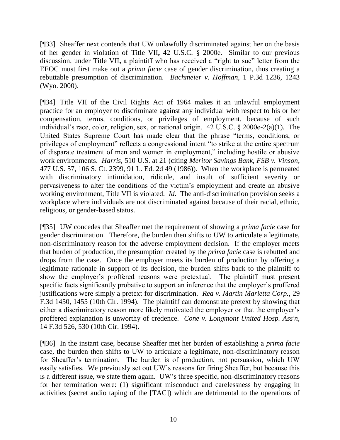[¶33] Sheaffer next contends that UW unlawfully discriminated against her on the basis of her gender in violation of Title VII**,** 42 U.S.C. § 2000e. Similar to our previous discussion, under Title VII**,** a plaintiff who has received a "right to sue" letter from the EEOC must first make out a *prima facie* case of gender discrimination, thus creating a rebuttable presumption of discrimination. *Bachmeier v. Hoffman,* 1 P.3d 1236, 1243 (Wyo. 2000).

[¶34] Title VII of the Civil Rights Act of 1964 makes it an unlawful employment practice for an employer to discriminate against any individual with respect to his or her compensation, terms, conditions, or privileges of employment, because of such individual's race, color, religion, sex, or national origin. 42 U.S.C. § 2000e-2(a)(1). The United States Supreme Court has made clear that the phrase "terms, conditions, or privileges of employment" reflects a congressional intent "to strike at the entire spectrum of disparate treatment of men and women in employment," including hostile or abusive work environments. *Harris*, 510 U.S. at 21 (citing *Meritor Savings Bank, FSB v. Vinson*, 477 U.S. 57, 106 S. Ct. 2399, 91 L. Ed. 2d 49 (1986)). When the workplace is permeated with discriminatory intimidation, ridicule, and insult of sufficient severity or pervasiveness to alter the conditions of the victim"s employment and create an abusive working environment, Title VII is violated. *Id*. The anti-discrimination provision seeks a workplace where individuals are not discriminated against because of their racial, ethnic, religious, or gender-based status.

[¶35] UW concedes that Sheaffer met the requirement of showing a *prima facie* case for gender discrimination. Therefore, the burden then shifts to UW to articulate a legitimate, non-discriminatory reason for the adverse employment decision. If the employer meets that burden of production, the presumption created by the *prima facie* case is rebutted and drops from the case. Once the employer meets its burden of production by offering a legitimate rationale in support of its decision, the burden shifts back to the plaintiff to show the employer's proffered reasons were pretextual. The plaintiff must present specific facts significantly probative to support an inference that the employer's proffered justifications were simply a pretext for discrimination. *Rea v. Martin Marietta Corp.*, 29 F.3d 1450, 1455 (10th Cir. 1994). The plaintiff can demonstrate pretext by showing that either a discriminatory reason more likely motivated the employer or that the employer's proffered explanation is unworthy of credence. *Cone v. Longmont United Hosp. Ass'n*, 14 F.3d 526, 530 (10th Cir. 1994).

[¶36] In the instant case, because Sheaffer met her burden of establishing a *prima facie* case, the burden then shifts to UW to articulate a legitimate, non-discriminatory reason for Sheaffer"s termination. The burden is of production, not persuasion, which UW easily satisfies. We previously set out UW"s reasons for firing Sheaffer, but because this is a different issue, we state them again. UW"s three specific, non-discriminatory reasons for her termination were: (1) significant misconduct and carelessness by engaging in activities (secret audio taping of the [TAC]) which are detrimental to the operations of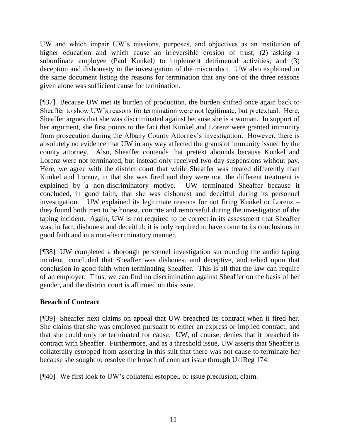UW and which impair UW"s missions, purposes, and objectives as an institution of higher education and which cause an irreversible erosion of trust; (2) asking a subordinate employee (Paul Kunkel) to implement detrimental activities; and (3) deception and dishonesty in the investigation of the misconduct. UW also explained in the same document listing the reasons for termination that any one of the three reasons given alone was sufficient cause for termination.

[¶37] Because UW met its burden of production, the burden shifted once again back to Sheaffer to show UW"s reasons for termination were not legitimate, but pretextual. Here, Sheaffer argues that she was discriminated against because she is a woman. In support of her argument, she first points to the fact that Kunkel and Lorenz were granted immunity from prosecution during the Albany County Attorney"s investigation. However, there is absolutely no evidence that UW in any way affected the grants of immunity issued by the county attorney. Also, Sheaffer contends that pretext abounds because Kunkel and Lorenz were not terminated, but instead only received two-day suspensions without pay. Here, we agree with the district court that while Sheaffer was treated differently than Kunkel and Lorenz, in that she was fired and they were not, the different treatment is explained by a non-discriminatory motive. UW terminated Sheaffer because it concluded, in good faith, that she was dishonest and deceitful during its personnel investigation. UW explained its legitimate reasons for not firing Kunkel or Lorenz – they found both men to be honest, contrite and remorseful during the investigation of the taping incident. Again, UW is not required to be correct in its assessment that Sheaffer was, in fact, dishonest and deceitful; it is only required to have come to its conclusions in good faith and in a non-discriminatory manner.

[¶38] UW completed a thorough personnel investigation surrounding the audio taping incident, concluded that Sheaffer was dishonest and deceptive, and relied upon that conclusion in good faith when terminating Sheaffer. This is all that the law can require of an employer. Thus, we can find no discrimination against Sheaffer on the basis of her gender, and the district court is affirmed on this issue.

# **Breach of Contract**

[¶39] Sheaffer next claims on appeal that UW breached its contract when it fired her. She claims that she was employed pursuant to either an express or implied contract, and that she could only be terminated for cause. UW, of course, denies that it breached its contract with Sheaffer. Furthermore, and as a threshold issue, UW asserts that Sheaffer is collaterally estopped from asserting in this suit that there was not cause to terminate her because she sought to resolve the breach of contract issue through UniReg 174.

[¶40] We first look to UW"s collateral estoppel, or issue preclusion, claim.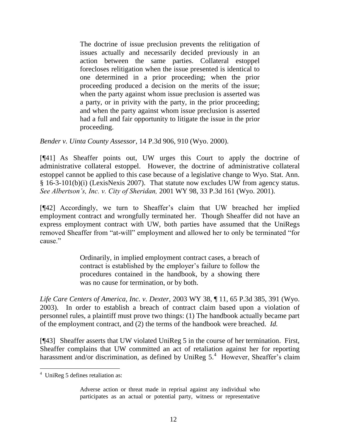The doctrine of issue preclusion prevents the relitigation of issues actually and necessarily decided previously in an action between the same parties. Collateral estoppel forecloses relitigation when the issue presented is identical to one determined in a prior proceeding; when the prior proceeding produced a decision on the merits of the issue; when the party against whom issue preclusion is asserted was a party, or in privity with the party, in the prior proceeding; and when the party against whom issue preclusion is asserted had a full and fair opportunity to litigate the issue in the prior proceeding.

*Bender v. Uinta County Assessor*, 14 P.3d 906, 910 (Wyo. 2000).

[¶41] As Sheaffer points out, UW urges this Court to apply the doctrine of administrative collateral estoppel. However, the doctrine of administrative collateral estoppel cannot be applied to this case because of a legislative change to Wyo. Stat. Ann. § 16-3-101(b)(i) (LexisNexis 2007). That statute now excludes UW from agency status. *See Albertson's, Inc. v. City of Sheridan,* 2001 WY 98, 33 P.3d 161 (Wyo. 2001).

[¶42] Accordingly, we turn to Sheaffer"s claim that UW breached her implied employment contract and wrongfully terminated her. Though Sheaffer did not have an express employment contract with UW, both parties have assumed that the UniRegs removed Sheaffer from "at-will" employment and allowed her to only be terminated "for cause."

> Ordinarily, in implied employment contract cases, a breach of contract is established by the employer"s failure to follow the procedures contained in the handbook, by a showing there was no cause for termination, or by both.

*Life Care Centers of America, Inc. v. Dexter,* 2003 WY 38, ¶ 11, 65 P.3d 385, 391 (Wyo. 2003). In order to establish a breach of contract claim based upon a violation of personnel rules, a plaintiff must prove two things: (1) The handbook actually became part of the employment contract, and (2) the terms of the handbook were breached. *Id.*

[¶43] Sheaffer asserts that UW violated UniReg 5 in the course of her termination. First, Sheaffer complains that UW committed an act of retaliation against her for reporting harassment and/or discrimination, as defined by UniReg  $5<sup>4</sup>$  However, Sheaffer's claim

Adverse action or threat made in reprisal against any individual who participates as an actual or potential party, witness or representative

 <sup>4</sup> UniReg 5 defines retaliation as: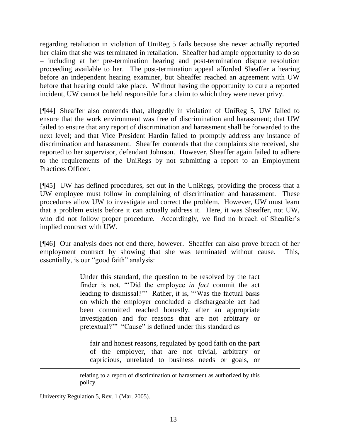regarding retaliation in violation of UniReg 5 fails because she never actually reported her claim that she was terminated in retaliation. Sheaffer had ample opportunity to do so – including at her pre-termination hearing and post-termination dispute resolution proceeding available to her. The post-termination appeal afforded Sheaffer a hearing before an independent hearing examiner, but Sheaffer reached an agreement with UW before that hearing could take place. Without having the opportunity to cure a reported incident, UW cannot be held responsible for a claim to which they were never privy.

[¶44] Sheaffer also contends that, allegedly in violation of UniReg 5, UW failed to ensure that the work environment was free of discrimination and harassment; that UW failed to ensure that any report of discrimination and harassment shall be forwarded to the next level; and that Vice President Hardin failed to promptly address any instance of discrimination and harassment. Sheaffer contends that the complaints she received, she reported to her supervisor, defendant Johnson. However, Sheaffer again failed to adhere to the requirements of the UniRegs by not submitting a report to an Employment Practices Officer.

[¶45] UW has defined procedures, set out in the UniRegs, providing the process that a UW employee must follow in complaining of discrimination and harassment. These procedures allow UW to investigate and correct the problem. However, UW must learn that a problem exists before it can actually address it. Here, it was Sheaffer, not UW, who did not follow proper procedure. Accordingly, we find no breach of Sheaffer's implied contract with UW.

[¶46] Our analysis does not end there, however. Sheaffer can also prove breach of her employment contract by showing that she was terminated without cause. This, essentially, is our "good faith" analysis:

> Under this standard, the question to be resolved by the fact finder is not, ""Did the employee *in fact* commit the act leading to dismissal?"" Rather, it is, "'Was the factual basis on which the employer concluded a dischargeable act had been committed reached honestly, after an appropriate investigation and for reasons that are not arbitrary or pretextual?"" "Cause" is defined under this standard as

fair and honest reasons, regulated by good faith on the part of the employer, that are not trivial, arbitrary or capricious, unrelated to business needs or goals, or

University Regulation 5, Rev. 1 (Mar. 2005).

relating to a report of discrimination or harassment as authorized by this policy.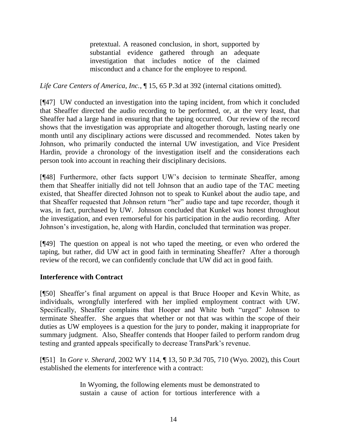pretextual. A reasoned conclusion, in short, supported by substantial evidence gathered through an adequate investigation that includes notice of the claimed misconduct and a chance for the employee to respond.

*Life Care Centers of America, Inc.*, ¶ 15, 65 P.3d at 392 (internal citations omitted).

[¶47] UW conducted an investigation into the taping incident, from which it concluded that Sheaffer directed the audio recording to be performed, or, at the very least, that Sheaffer had a large hand in ensuring that the taping occurred. Our review of the record shows that the investigation was appropriate and altogether thorough, lasting nearly one month until any disciplinary actions were discussed and recommended. Notes taken by Johnson, who primarily conducted the internal UW investigation, and Vice President Hardin, provide a chronology of the investigation itself and the considerations each person took into account in reaching their disciplinary decisions.

[¶48] Furthermore, other facts support UW"s decision to terminate Sheaffer, among them that Sheaffer initially did not tell Johnson that an audio tape of the TAC meeting existed, that Sheaffer directed Johnson not to speak to Kunkel about the audio tape, and that Sheaffer requested that Johnson return "her" audio tape and tape recorder, though it was, in fact, purchased by UW. Johnson concluded that Kunkel was honest throughout the investigation, and even remorseful for his participation in the audio recording. After Johnson"s investigation, he, along with Hardin, concluded that termination was proper.

[¶49] The question on appeal is not who taped the meeting, or even who ordered the taping, but rather, did UW act in good faith in terminating Sheaffer? After a thorough review of the record, we can confidently conclude that UW did act in good faith.

# **Interference with Contract**

[¶50] Sheaffer"s final argument on appeal is that Bruce Hooper and Kevin White, as individuals, wrongfully interfered with her implied employment contract with UW. Specifically, Sheaffer complains that Hooper and White both "urged" Johnson to terminate Sheaffer. She argues that whether or not that was within the scope of their duties as UW employees is a question for the jury to ponder, making it inappropriate for summary judgment. Also, Sheaffer contends that Hooper failed to perform random drug testing and granted appeals specifically to decrease TransPark's revenue.

[¶51] In *Gore v. Sherard,* 2002 WY 114, ¶ 13, 50 P.3d 705, 710 (Wyo. 2002), this Court established the elements for interference with a contract:

> In Wyoming, the following elements must be demonstrated to sustain a cause of action for tortious interference with a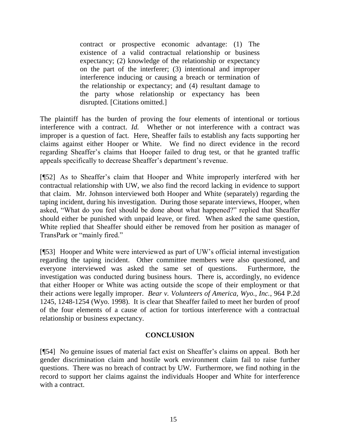contract or prospective economic advantage: (1) The existence of a valid contractual relationship or business expectancy; (2) knowledge of the relationship or expectancy on the part of the interferer; (3) intentional and improper interference inducing or causing a breach or termination of the relationship or expectancy; and (4) resultant damage to the party whose relationship or expectancy has been disrupted. [Citations omitted.]

The plaintiff has the burden of proving the four elements of intentional or tortious interference with a contract. *Id.* Whether or not interference with a contract was improper is a question of fact. Here, Sheaffer fails to establish any facts supporting her claims against either Hooper or White. We find no direct evidence in the record regarding Sheaffer"s claims that Hooper failed to drug test, or that he granted traffic appeals specifically to decrease Sheaffer's department's revenue.

[¶52] As to Sheaffer"s claim that Hooper and White improperly interfered with her contractual relationship with UW, we also find the record lacking in evidence to support that claim. Mr. Johnson interviewed both Hooper and White (separately) regarding the taping incident, during his investigation. During those separate interviews, Hooper, when asked, "What do you feel should be done about what happened?" replied that Sheaffer should either be punished with unpaid leave, or fired. When asked the same question, White replied that Sheaffer should either be removed from her position as manager of TransPark or "mainly fired."

[¶53] Hooper and White were interviewed as part of UW"s official internal investigation regarding the taping incident. Other committee members were also questioned, and everyone interviewed was asked the same set of questions. Furthermore, the investigation was conducted during business hours. There is, accordingly, no evidence that either Hooper or White was acting outside the scope of their employment or that their actions were legally improper. *Bear v. Volunteers of America, Wyo., Inc.*, 964 P.2d 1245, 1248-1254 (Wyo. 1998). It is clear that Sheaffer failed to meet her burden of proof of the four elements of a cause of action for tortious interference with a contractual relationship or business expectancy.

#### **CONCLUSION**

[¶54] No genuine issues of material fact exist on Sheaffer"s claims on appeal. Both her gender discrimination claim and hostile work environment claim fail to raise further questions. There was no breach of contract by UW. Furthermore, we find nothing in the record to support her claims against the individuals Hooper and White for interference with a contract.